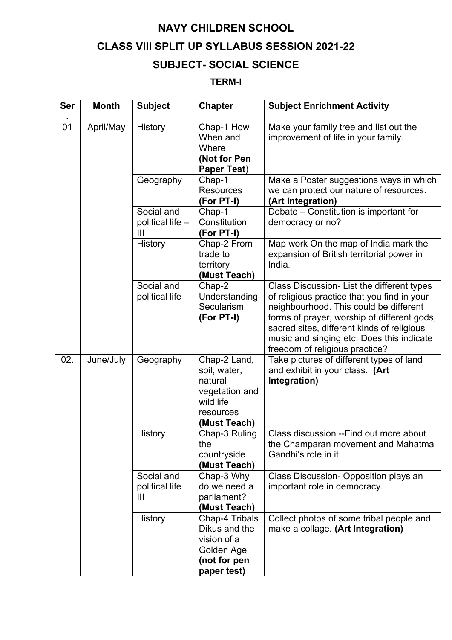## **NAVY CHILDREN SCHOOL**

## **CLASS VIII SPLIT UP SYLLABUS SESSION 2021-22**

## **SUBJECT- SOCIAL SCIENCE**

## **TERM-I**

| <b>Ser</b> | <b>Month</b> | <b>Subject</b>                                   | <b>Chapter</b>                                                                                      | <b>Subject Enrichment Activity</b>                                                                                                                                                                                                                                                                              |
|------------|--------------|--------------------------------------------------|-----------------------------------------------------------------------------------------------------|-----------------------------------------------------------------------------------------------------------------------------------------------------------------------------------------------------------------------------------------------------------------------------------------------------------------|
| 01         | April/May    | History                                          | Chap-1 How<br>When and<br>Where<br>(Not for Pen<br><b>Paper Test)</b>                               | Make your family tree and list out the<br>improvement of life in your family.                                                                                                                                                                                                                                   |
|            |              | Geography                                        | Chap-1<br><b>Resources</b><br>(For PT-I)                                                            | Make a Poster suggestions ways in which<br>we can protect our nature of resources.<br>(Art Integration)                                                                                                                                                                                                         |
|            |              | Social and<br>political life -<br>$\mathbf{III}$ | Chap-1<br>Constitution<br>(For PT-I)                                                                | Debate - Constitution is important for<br>democracy or no?                                                                                                                                                                                                                                                      |
|            |              | History                                          | Chap-2 From<br>trade to<br>territory<br>(Must Teach)                                                | Map work On the map of India mark the<br>expansion of British territorial power in<br>India.                                                                                                                                                                                                                    |
|            |              | Social and<br>political life                     | Chap-2<br>Understanding<br>Secularism<br>(For PT-I)                                                 | Class Discussion- List the different types<br>of religious practice that you find in your<br>neighbourhood. This could be different<br>forms of prayer, worship of different gods,<br>sacred sites, different kinds of religious<br>music and singing etc. Does this indicate<br>freedom of religious practice? |
| 02.        | June/July    | Geography                                        | Chap-2 Land,<br>soil, water,<br>natural<br>vegetation and<br>wild life<br>resources<br>(Must Teach) | Take pictures of different types of land<br>and exhibit in your class. (Art<br>Integration)                                                                                                                                                                                                                     |
|            |              | History                                          | Chap-3 Ruling<br>the<br>countryside<br>(Must Teach)                                                 | Class discussion -- Find out more about<br>the Champaran movement and Mahatma<br>Gandhi's role in it                                                                                                                                                                                                            |
|            |              | Social and<br>political life<br>$\mathbf{III}$   | Chap-3 Why<br>do we need a<br>parliament?<br>(Must Teach)                                           | Class Discussion- Opposition plays an<br>important role in democracy.                                                                                                                                                                                                                                           |
|            |              | History                                          | Chap-4 Tribals<br>Dikus and the<br>vision of a<br>Golden Age<br>(not for pen<br>paper test)         | Collect photos of some tribal people and<br>make a collage. (Art Integration)                                                                                                                                                                                                                                   |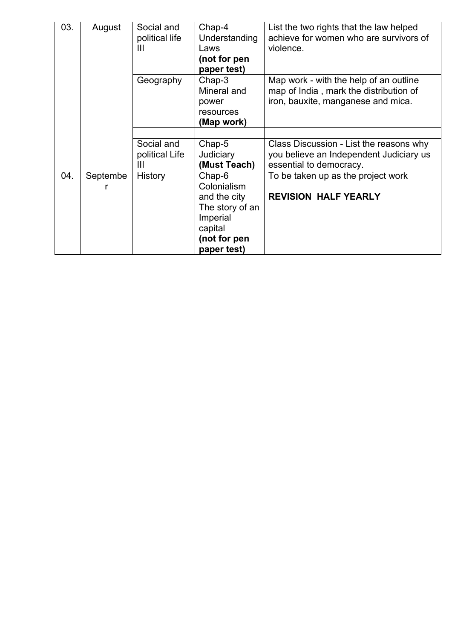| 03. | August   | Social and<br>political life<br>$\mathbf{III}$ | Chap-4<br>Understanding<br>Laws<br>(not for pen<br>paper test) | List the two rights that the law helped<br>achieve for women who are survivors of<br>violence.                         |
|-----|----------|------------------------------------------------|----------------------------------------------------------------|------------------------------------------------------------------------------------------------------------------------|
|     |          | Geography                                      | Chap-3<br>Mineral and<br>power<br>resources<br>(Map work)      | Map work - with the help of an outline<br>map of India, mark the distribution of<br>iron, bauxite, manganese and mica. |
|     |          |                                                |                                                                |                                                                                                                        |
|     |          | Social and                                     | $Chap-5$                                                       | Class Discussion - List the reasons why                                                                                |
|     |          | political Life<br>$\mathbf{III}$               | Judiciary<br>(Must Teach)                                      | you believe an Independent Judiciary us<br>essential to democracy.                                                     |
| 04. | Septembe | <b>History</b>                                 | Chap-6<br>Colonialism                                          | To be taken up as the project work                                                                                     |
|     |          |                                                | and the city                                                   | <b>REVISION HALF YEARLY</b>                                                                                            |
|     |          |                                                | The story of an                                                |                                                                                                                        |
|     |          |                                                | Imperial                                                       |                                                                                                                        |
|     |          |                                                | capital                                                        |                                                                                                                        |
|     |          |                                                | (not for pen                                                   |                                                                                                                        |
|     |          |                                                | paper test)                                                    |                                                                                                                        |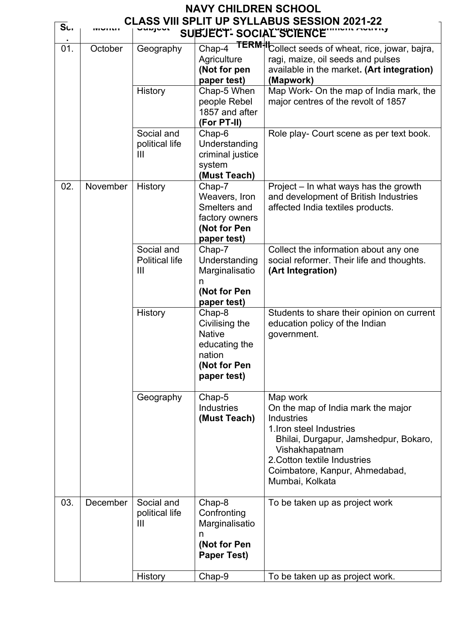|                |          |                                                | <b>NAVY CHILDREN SCHOOL</b>                                                                         |                                                                                                                                                                                                                                          |
|----------------|----------|------------------------------------------------|-----------------------------------------------------------------------------------------------------|------------------------------------------------------------------------------------------------------------------------------------------------------------------------------------------------------------------------------------------|
| S <sub>1</sub> |          | unina                                          | SUBJECT-SOCIAL SCIENCE                                                                              | <b>CLASS VIII SPLIT UP SYLLABUS SESSION 2021-22</b>                                                                                                                                                                                      |
| 01.            | October  | Geography                                      | Chap-4<br>Agriculture<br>(Not for pen<br>paper test)                                                | TERM <sup>+</sup> ICollect seeds of wheat, rice, jowar, bajra,<br>ragi, maize, oil seeds and pulses<br>available in the market. (Art integration)<br>(Mapwork)                                                                           |
|                |          | History                                        | Chap-5 When<br>people Rebel<br>1857 and after<br>(For PT-II)                                        | Map Work- On the map of India mark, the<br>major centres of the revolt of 1857                                                                                                                                                           |
|                |          | Social and<br>political life<br>III            | Chap-6<br>Understanding<br>criminal justice<br>system<br>(Must Teach)                               | Role play- Court scene as per text book.                                                                                                                                                                                                 |
| 02.            | November | History                                        | Chap-7<br>Weavers, Iron<br>Smelters and<br>factory owners<br>(Not for Pen<br>paper test)            | Project - In what ways has the growth<br>and development of British Industries<br>affected India textiles products.                                                                                                                      |
|                |          | Social and<br><b>Political life</b><br>III     | Chap-7<br>Understanding<br>Marginalisatio<br>n<br>(Not for Pen<br>paper test)                       | Collect the information about any one<br>social reformer. Their life and thoughts.<br>(Art Integration)                                                                                                                                  |
|                |          | History                                        | Chap-8<br>Civilising the<br><b>Native</b><br>educating the<br>nation<br>(Not for Pen<br>paper test) | Students to share their opinion on current<br>education policy of the Indian<br>government.                                                                                                                                              |
|                |          | Geography                                      | Chap-5<br><b>Industries</b><br>(Must Teach)                                                         | Map work<br>On the map of India mark the major<br>Industries<br>1. Iron steel Industries<br>Bhilai, Durgapur, Jamshedpur, Bokaro,<br>Vishakhapatnam<br>2. Cotton textile Industries<br>Coimbatore, Kanpur, Ahmedabad,<br>Mumbai, Kolkata |
| 03.            | December | Social and<br>political life<br>$\mathbf{III}$ | Chap-8<br>Confronting<br>Marginalisatio<br>n<br>(Not for Pen<br><b>Paper Test)</b>                  | To be taken up as project work                                                                                                                                                                                                           |
|                |          | <b>History</b>                                 | Chap-9                                                                                              | To be taken up as project work.                                                                                                                                                                                                          |